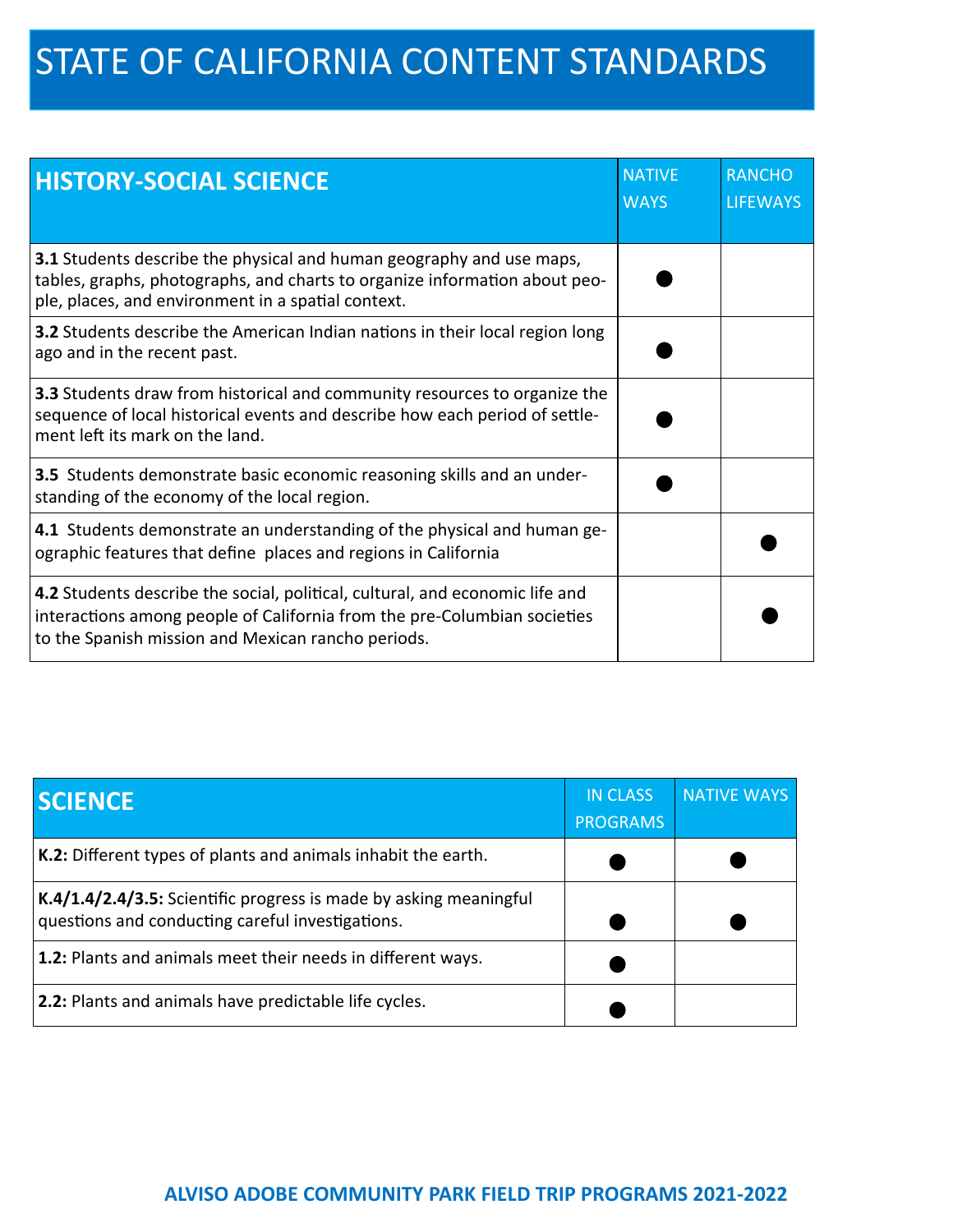## STATE OF CALIFORNIA CONTENT STANDARDS

| <b>HISTORY-SOCIAL SCIENCE</b>                                                                                                                                                                                  | <b>NATIVE</b><br><b>WAYS</b> | <b>RANCHO</b><br><b>LIFEWAYS</b> |
|----------------------------------------------------------------------------------------------------------------------------------------------------------------------------------------------------------------|------------------------------|----------------------------------|
| 3.1 Students describe the physical and human geography and use maps,<br>tables, graphs, photographs, and charts to organize information about peo-<br>ple, places, and environment in a spatial context.       |                              |                                  |
| <b>3.2</b> Students describe the American Indian nations in their local region long<br>ago and in the recent past.                                                                                             |                              |                                  |
| 3.3 Students draw from historical and community resources to organize the<br>sequence of local historical events and describe how each period of settle-<br>ment left its mark on the land.                    |                              |                                  |
| 3.5 Students demonstrate basic economic reasoning skills and an under-<br>standing of the economy of the local region.                                                                                         |                              |                                  |
| 4.1 Students demonstrate an understanding of the physical and human ge-<br>ographic features that define places and regions in California                                                                      |                              |                                  |
| 4.2 Students describe the social, political, cultural, and economic life and<br>interactions among people of California from the pre-Columbian societies<br>to the Spanish mission and Mexican rancho periods. |                              |                                  |

| <b>SCIENCE</b>                                                                                                        | <b>IN CLASS</b><br><b>PROGRAMS</b> | <b>NATIVE WAYS</b> |
|-----------------------------------------------------------------------------------------------------------------------|------------------------------------|--------------------|
| $K.2$ : Different types of plants and animals inhabit the earth.                                                      |                                    |                    |
| K.4/1.4/2.4/3.5: Scientific progress is made by asking meaningful<br>questions and conducting careful investigations. |                                    |                    |
| <b>1.2:</b> Plants and animals meet their needs in different ways.                                                    |                                    |                    |
| <b>2.2:</b> Plants and animals have predictable life cycles.                                                          |                                    |                    |

## **ALVISO ADOBE COMMUNITY PARK FIELD TRIP PROGRAMS 2021‐2022**